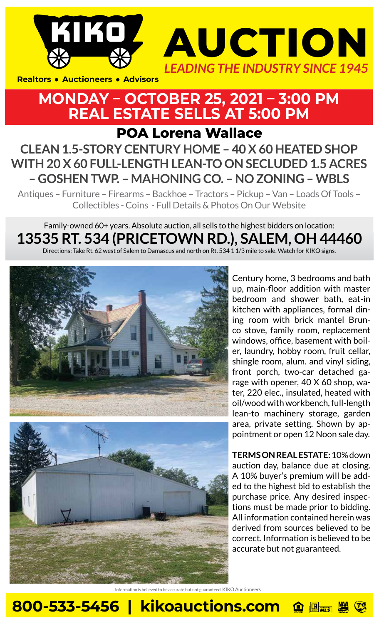



## **MONDAY – OCTOBER 25, 2021 – 3:00 PM REAL ESTATE SELLS AT 5:00 PM**

**POA Lorena Wallace**

## **CLEAN 1.5-STORY CENTURY HOME – 40 X 60 HEATED SHOP WITH 20 X 60 FULL-LENGTH LEAN-TO ON SECLUDED 1.5 ACRES – GOSHEN TWP. – MAHONING CO. – NO ZONING – WBLS**

Antiques – Furniture – Firearms – Backhoe – Tractors – Pickup – Van – Loads Of Tools – Collectibles - Coins - Full Details & Photos On Our Website

## Family-owned 60+ years. Absolute auction, all sells to the highest bidders on location: **13535 RT. 534 (PRICETOWN RD.), SALEM, OH 44460**

Directions: Take Rt. 62 west of Salem to Damascus and north on Rt. 534 1 1/3 mile to sale. Watch for KIKO signs.



Century home, 3 bedrooms and bath up, main-floor addition with master bedroom and shower bath, eat-in kitchen with appliances, formal dining room with brick mantel Brunco stove, family room, replacement windows, office, basement with boiler, laundry, hobby room, fruit cellar, shingle room, alum. and vinyl siding, front porch, two-car detached garage with opener, 40 X 60 shop, water, 220 elec., insulated, heated with oil/wood with workbench, full-length lean-to machinery storage, garden area, private setting. Shown by appointment or open 12 Noon sale day.

**TERMS ON REAL ESTATE:** 10% down auction day, balance due at closing. A 10% buyer's premium will be added to the highest bid to establish the purchase price. Any desired inspections must be made prior to bidding. All information contained herein was derived from sources believed to be correct. Information is believed to be accurate but not guaranteed.

is believed to be accurate but not guaranteed. KIKO Auctioneers

**800-533-5456 | kikoauctions.com**